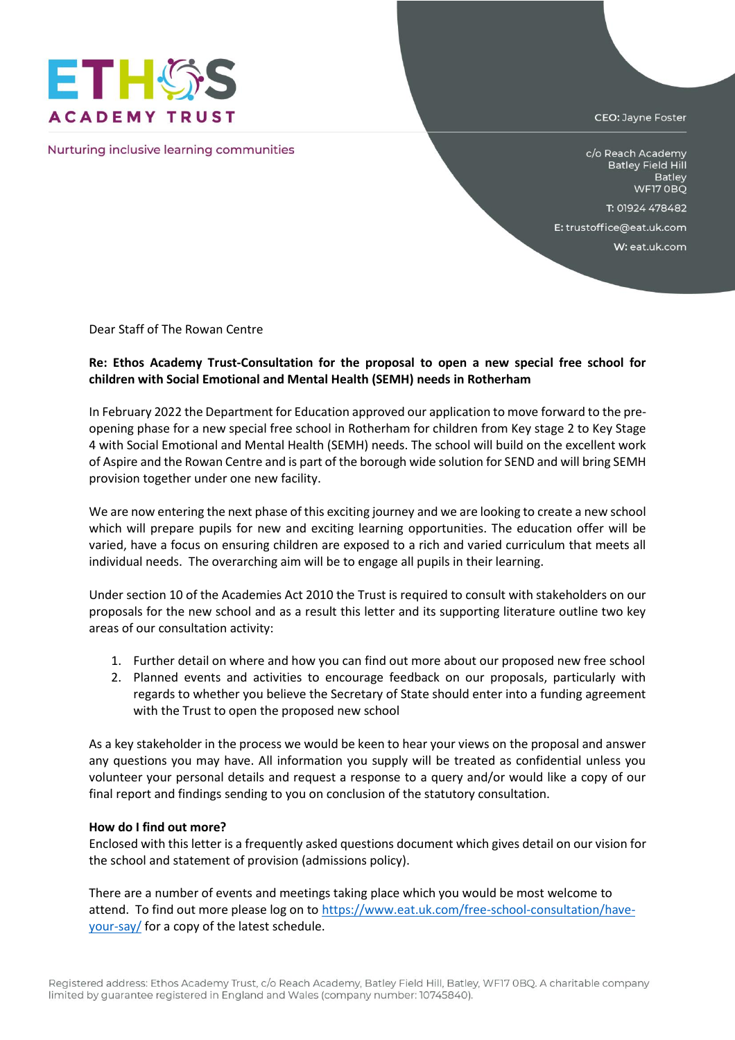

Nurturing inclusive learning communities

CEO: Jayne Foster

c/o Reach Academy **Batley Field Hill** Batley WF17 OBQ

T: 01924 478482

E: trustoffice@eat.uk.com

W: eat.uk.com

Dear Staff of The Rowan Centre

## **Re: Ethos Academy Trust-Consultation for the proposal to open a new special free school for children with Social Emotional and Mental Health (SEMH) needs in Rotherham**

In February 2022 the Department for Education approved our application to move forward to the preopening phase for a new special free school in Rotherham for children from Key stage 2 to Key Stage 4 with Social Emotional and Mental Health (SEMH) needs. The school will build on the excellent work of Aspire and the Rowan Centre and is part of the borough wide solution for SEND and will bring SEMH provision together under one new facility.

We are now entering the next phase of this exciting journey and we are looking to create a new school which will prepare pupils for new and exciting learning opportunities. The education offer will be varied, have a focus on ensuring children are exposed to a rich and varied curriculum that meets all individual needs. The overarching aim will be to engage all pupils in their learning.

Under section 10 of the Academies Act 2010 the Trust is required to consult with stakeholders on our proposals for the new school and as a result this letter and its supporting literature outline two key areas of our consultation activity:

- 1. Further detail on where and how you can find out more about our proposed new free school
- 2. Planned events and activities to encourage feedback on our proposals, particularly with regards to whether you believe the Secretary of State should enter into a funding agreement with the Trust to open the proposed new school

As a key stakeholder in the process we would be keen to hear your views on the proposal and answer any questions you may have. All information you supply will be treated as confidential unless you volunteer your personal details and request a response to a query and/or would like a copy of our final report and findings sending to you on conclusion of the statutory consultation.

## **How do I find out more?**

Enclosed with this letter is a frequently asked questions document which gives detail on our vision for the school and statement of provision (admissions policy).

There are a number of events and meetings taking place which you would be most welcome to attend. To find out more please log on t[o https://www.eat.uk.com/free-school-consultation/have](https://www.eat.uk.com/free-school-consultation/have-your-say/)[your-say/](https://www.eat.uk.com/free-school-consultation/have-your-say/) for a copy of the latest schedule.